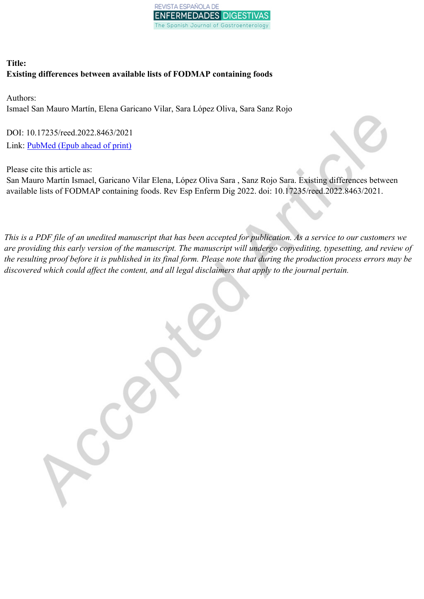

# **Title: Existing differences between available lists of FODMAP containing foods**

Authors: Ismael San Mauro Martín, Elena Garicano Vilar, Sara López Oliva, Sara Sanz Rojo

DOI: 10.17235/reed.2022.8463/2021 Link: [PubMed](https://www.ncbi.nlm.nih.gov/pubmed/?term=10.17235/reed.2022.8463/2021) (Epub ahead of print)

Please cite this article as:

San Mauro Martín Ismael, Garicano Vilar Elena, López Oliva Sara , Sanz Rojo Sara. Existing differences between available lists of FODMAP containing foods. Rev Esp Enferm Dig 2022. doi: 10.17235/reed.2022.8463/2021.

This is a PDF file of an unedited manuscript that has been accepted for publication. As a service to our customers we are providing this early version of the manuscript. The manuscript will undergo copyediting, typesetting, and review of the resulting proof before it is published in its final form. Please note that during the production process errors may be *discovered which could affect the content, and all legal disclaimers that apply to the journal pertain.*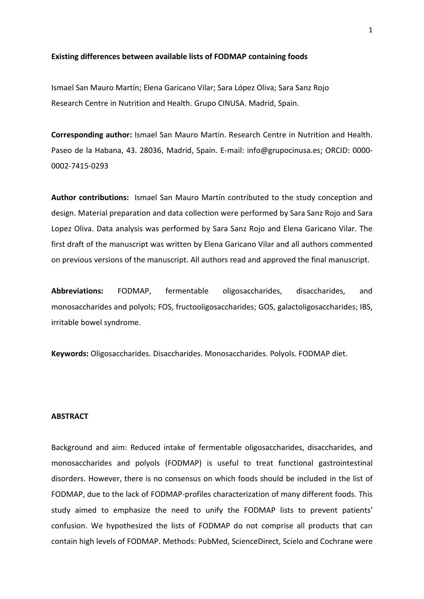#### **Existing differences between available lists of FODMAP containing foods**

Ismael San Mauro Martín; Elena Garicano Vilar; Sara López Oliva; Sara Sanz Rojo Research Centre in Nutrition and Health. Grupo CINUSA. Madrid, Spain.

**Corresponding author:** Ismael San Mauro Martin. Research Centre in Nutrition and Health. Paseo de la Habana, 43. 28036, Madrid, Spain. E-mail: info@grupocinusa.es; ORCID: 0000- 0002-7415-0293

**Author contributions:** Ismael San Mauro Martín contributed to the study conception and design. Material preparation and data collection were performed by Sara Sanz Rojo and Sara Lopez Oliva. Data analysis was performed by Sara Sanz Rojo and Elena Garicano Vilar. The first draft of the manuscript was written by Elena Garicano Vilar and all authors commented on previous versions of the manuscript. All authors read and approved the final manuscript.

**Abbreviations:** FODMAP, fermentable oligosaccharides, disaccharides, and monosaccharides and polyols; FOS, fructooligosaccharides; GOS, galactoligosaccharides; IBS, irritable bowel syndrome.

**Keywords:** Oligosaccharides. Disaccharides. Monosaccharides. Polyols. FODMAP diet.

## **ABSTRACT**

Background and aim: Reduced intake of fermentable oligosaccharides, disaccharides, and monosaccharides and polyols (FODMAP) is useful to treat functional gastrointestinal disorders. However, there is no consensus on which foods should be included in the list of FODMAP, due to the lack of FODMAP-profiles characterization of many different foods. This study aimed to emphasize the need to unify the FODMAP lists to prevent patients' confusion. We hypothesized the lists of FODMAP do not comprise all products that can contain high levels of FODMAP. Methods: PubMed, ScienceDirect, Scielo and Cochrane were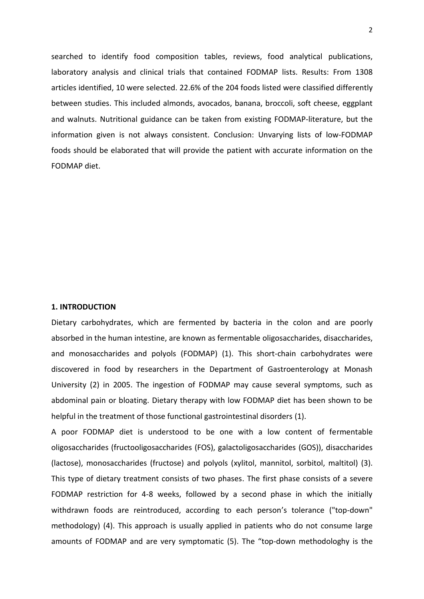searched to identify food composition tables, reviews, food analytical publications, laboratory analysis and clinical trials that contained FODMAP lists. Results: From 1308 articles identified, 10 were selected. 22.6% of the 204 foods listed were classified differently between studies. This included almonds, avocados, banana, broccoli, soft cheese, eggplant and walnuts. Nutritional guidance can be taken from existing FODMAP-literature, but the information given is not always consistent. Conclusion: Unvarying lists of low-FODMAP foods should be elaborated that will provide the patient with accurate information on the FODMAP diet.

#### **1. INTRODUCTION**

Dietary carbohydrates, which are fermented by bacteria in the colon and are poorly absorbed in the human intestine, are known as fermentable oligosaccharides, disaccharides, and monosaccharides and polyols (FODMAP) (1). This short-chain carbohydrates were discovered in food by researchers in the Department of Gastroenterology at Monash University (2) in 2005. The ingestion of FODMAP may cause several symptoms, such as abdominal pain or bloating. Dietary therapy with low FODMAP diet has been shown to be helpful in the treatment of those functional gastrointestinal disorders (1).

A poor FODMAP diet is understood to be one with a low content of fermentable oligosaccharides (fructooligosaccharides (FOS), galactoligosaccharides (GOS)), disaccharides (lactose), monosaccharides (fructose) and polyols (xylitol, mannitol, sorbitol, maltitol) (3). This type of dietary treatment consists of two phases. The first phase consists of a severe FODMAP restriction for 4-8 weeks, followed by a second phase in which the initially withdrawn foods are reintroduced, according to each person's tolerance ("top-down" methodology) (4). This approach is usually applied in patients who do not consume large amounts of FODMAP and are very symptomatic (5). The "top-down methodologhy is the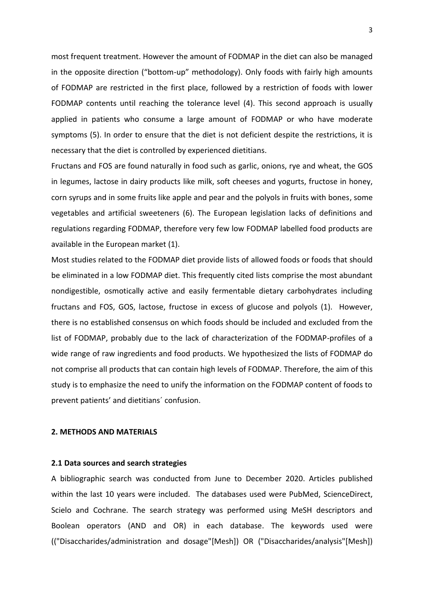most frequent treatment. However the amount of FODMAP in the diet can also be managed in the opposite direction ("bottom-up" methodology). Only foods with fairly high amounts of FODMAP are restricted in the first place, followed by a restriction of foods with lower FODMAP contents until reaching the tolerance level (4). This second approach is usually applied in patients who consume a large amount of FODMAP or who have moderate symptoms (5). In order to ensure that the diet is not deficient despite the restrictions, it is necessary that the diet is controlled by experienced dietitians.

Fructans and FOS are found naturally in food such as garlic, onions, rye and wheat, the GOS in legumes, lactose in dairy products like milk, soft cheeses and yogurts, fructose in honey, corn syrups and in some fruits like apple and pear and the polyols in fruits with bones, some vegetables and artificial sweeteners (6). The European legislation lacks of definitions and regulations regarding FODMAP, therefore very few low FODMAP labelled food products are available in the European market (1).

Most studies related to the FODMAP diet provide lists of allowed foods or foods that should be eliminated in a low FODMAP diet. This frequently cited lists comprise the most abundant nondigestible, osmotically active and easily fermentable dietary carbohydrates including fructans and FOS, GOS, lactose, fructose in excess of glucose and polyols (1). However, there is no established consensus on which foods should be included and excluded from the list of FODMAP, probably due to the lack of characterization of the FODMAP-profiles of a wide range of raw ingredients and food products. We hypothesized the lists of FODMAP do not comprise all products that can contain high levels of FODMAP. Therefore, the aim of this study is to emphasize the need to unify the information on the FODMAP content of foods to prevent patients' and dietitians´ confusion.

## **2. METHODS AND MATERIALS**

#### **2.1 Data sources and search strategies**

A bibliographic search was conducted from June to December 2020. Articles published within the last 10 years were included. The databases used were PubMed, ScienceDirect, Scielo and Cochrane. The search strategy was performed using MeSH descriptors and Boolean operators (AND and OR) in each database. The keywords used were (("Disaccharides/administration and dosage"[Mesh]) OR ("Disaccharides/analysis"[Mesh])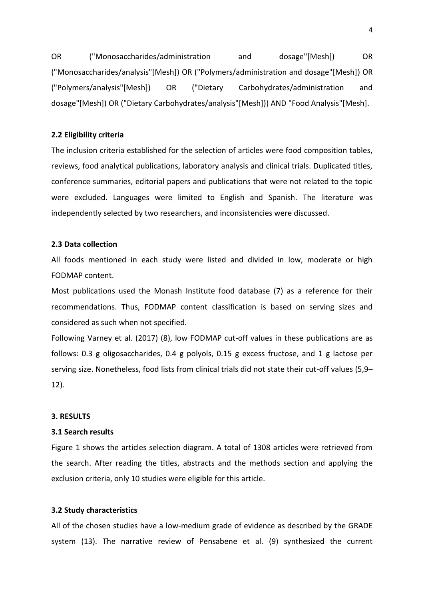OR ("Monosaccharides/administration and dosage"[Mesh]) OR ("Monosaccharides/analysis"[Mesh]) OR ("Polymers/administration and dosage"[Mesh]) OR ("Polymers/analysis"[Mesh]) OR ("Dietary Carbohydrates/administration and dosage"[Mesh]) OR ("Dietary Carbohydrates/analysis"[Mesh])) AND "Food Analysis"[Mesh].

#### **2.2 Eligibility criteria**

The inclusion criteria established for the selection of articles were food composition tables, reviews, food analytical publications, laboratory analysis and clinical trials. Duplicated titles, conference summaries, editorial papers and publications that were not related to the topic were excluded. Languages were limited to English and Spanish. The literature was independently selected by two researchers, and inconsistencies were discussed.

## **2.3 Data collection**

All foods mentioned in each study were listed and divided in low, moderate or high FODMAP content.

Most publications used the Monash Institute food database (7) as a reference for their recommendations. Thus, FODMAP content classification is based on serving sizes and considered as such when not specified.

Following Varney et al. (2017) (8), low FODMAP cut-off values in these publications are as follows: 0.3 g oligosaccharides, 0.4 g polyols, 0.15 g excess fructose, and 1 g lactose per serving size. Nonetheless, food lists from clinical trials did not state their cut-off values (5,9– 12).

## **3. RESULTS**

### **3.1 Search results**

Figure 1 shows the articles selection diagram. A total of 1308 articles were retrieved from the search. After reading the titles, abstracts and the methods section and applying the exclusion criteria, only 10 studies were eligible for this article.

## **3.2 Study characteristics**

All of the chosen studies have a low-medium grade of evidence as described by the GRADE system (13). The narrative review of Pensabene et al. (9) synthesized the current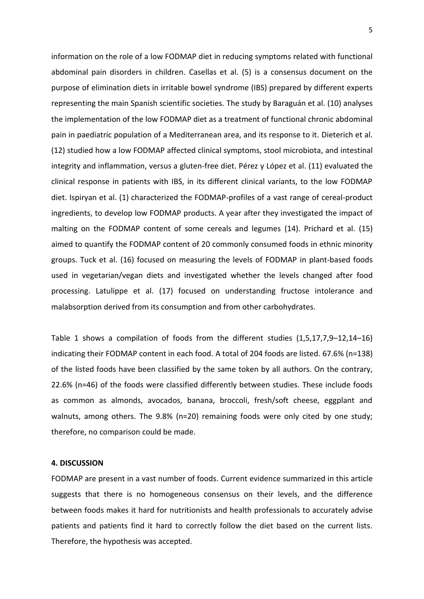information on the role of a low FODMAP diet in reducing symptoms related with functional abdominal pain disorders in children. Casellas et al. (5) is a consensus document on the purpose of elimination diets in irritable bowel syndrome (IBS) prepared by different experts representing the main Spanish scientific societies. The study by Baraguán et al. (10) analyses the implementation of the low FODMAP diet as a treatment of functional chronic abdominal pain in paediatric population of a Mediterranean area, and its response to it. Dieterich et al. (12) studied how a low FODMAP affected clinical symptoms, stool microbiota, and intestinal integrity and inflammation, versus a gluten-free diet. Pérez y López et al. (11) evaluated the clinical response in patients with IBS, in its different clinical variants, to the low FODMAP diet. Ispiryan et al. (1) characterized the FODMAP-profiles of a vast range of cereal-product ingredients, to develop low FODMAP products. A year after they investigated the impact of malting on the FODMAP content of some cereals and legumes (14). Prichard et al. (15) aimed to quantify the FODMAP content of 20 commonly consumed foods in ethnic minority groups. Tuck et al. (16) focused on measuring the levels of FODMAP in plant-based foods used in vegetarian/vegan diets and investigated whether the levels changed after food processing. Latulippe et al. (17) focused on understanding fructose intolerance and malabsorption derived from its consumption and from other carbohydrates.

Table 1 shows a compilation of foods from the different studies (1,5,17,7,9–12,14–16) indicating their FODMAP content in each food. A total of 204 foods are listed. 67.6% (n=138) of the listed foods have been classified by the same token by all authors. On the contrary, 22.6% (n=46) of the foods were classified differently between studies. These include foods as common as almonds, avocados, banana, broccoli, fresh/soft cheese, eggplant and walnuts, among others. The 9.8% (n=20) remaining foods were only cited by one study; therefore, no comparison could be made.

### **4. DISCUSSION**

FODMAP are present in a vast number of foods. Current evidence summarized in this article suggests that there is no homogeneous consensus on their levels, and the difference between foods makes it hard for nutritionists and health professionals to accurately advise patients and patients find it hard to correctly follow the diet based on the current lists. Therefore, the hypothesis was accepted.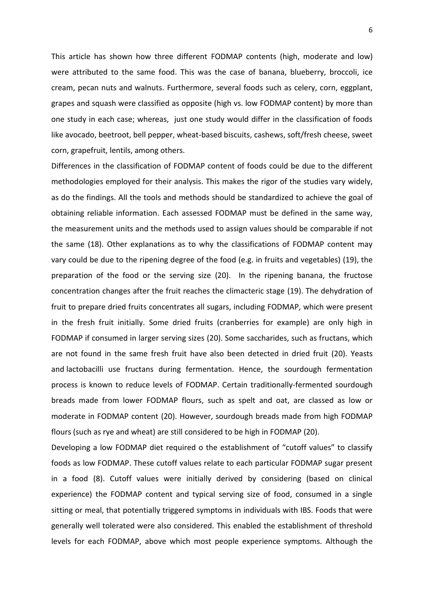This article has shown how three different FODMAP contents (high, moderate and low) were attributed to the same food. This was the case of banana, blueberry, broccoli, ice cream, pecan nuts and walnuts. Furthermore, several foods such as celery, corn, eggplant, grapes and squash were classified as opposite (high vs. low FODMAP content) by more than one study in each case; whereas, just one study would differ in the classification of foods like avocado, beetroot, bell pepper, wheat-based biscuits, cashews, soft/fresh cheese, sweet corn, grapefruit, lentils, among others.

Differences in the classification of FODMAP content of foods could be due to the different methodologies employed for their analysis. This makes the rigor of the studies vary widely, as do the findings. All the tools and methods should be standardized to achieve the goal of obtaining reliable information. Each assessed FODMAP must be defined in the same way, the measurement units and the methods used to assign values should be comparable if not the same (18). Other explanations as to why the classifications of FODMAP content may vary could be due to the ripening degree of the food (e.g. in fruits and vegetables) (19), the preparation of the food or the serving size (20). In the ripening banana, the fructose concentration changes after the fruit reaches the climacteric stage (19). The dehydration of fruit to prepare dried fruits concentrates all sugars, including FODMAP, which were present in the fresh fruit initially. Some dried fruits (cranberries for example) are only high in FODMAP if consumed in larger serving sizes (20). Some saccharides, such as fructans, which are not found in the same fresh fruit have also been detected in dried fruit (20). Yeasts and lactobacilli use fructans during fermentation. Hence, the sourdough fermentation process is known to reduce levels of FODMAP. Certain traditionally-fermented sourdough breads made from lower FODMAP flours, such as spelt and oat, are classed as low or moderate in FODMAP content (20). However, sourdough breads made from high FODMAP flours (such as rye and wheat) are still considered to be high in FODMAP (20).

Developing a low FODMAP diet required o the establishment of "cutoff values" to classify foods as low FODMAP. These cutoff values relate to each particular FODMAP sugar present in a food (8). Cutoff values were initially derived by considering (based on clinical experience) the FODMAP content and typical serving size of food, consumed in a single sitting or meal, that potentially triggered symptoms in individuals with IBS. Foods that were generally well tolerated were also considered. This enabled the establishment of threshold levels for each FODMAP, above which most people experience symptoms. Although the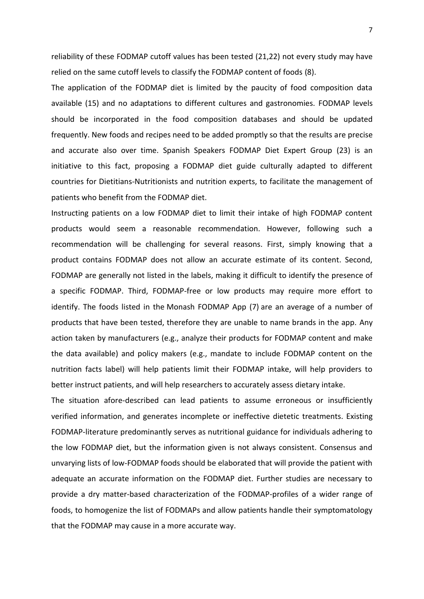reliability of these FODMAP cutoff values has been tested (21,22) not every study may have relied on the same cutoff levels to classify the FODMAP content of foods (8).

The application of the FODMAP diet is limited by the paucity of food composition data available (15) and no adaptations to different cultures and gastronomies. FODMAP levels should be incorporated in the food composition databases and should be updated frequently. New foods and recipes need to be added promptly so that the results are precise and accurate also over time. Spanish Speakers FODMAP Diet Expert Group (23) is an initiative to this fact, proposing a FODMAP diet guide culturally adapted to different countries for Dietitians-Nutritionists and nutrition experts, to facilitate the management of patients who benefit from the FODMAP diet.

Instructing patients on a low FODMAP diet to limit their intake of high FODMAP content products would seem a reasonable recommendation. However, following such a recommendation will be challenging for several reasons. First, simply knowing that a product contains FODMAP does not allow an accurate estimate of its content. Second, FODMAP are generally not listed in the labels, making it difficult to identify the presence of a specific FODMAP. Third, FODMAP-free or low products may require more effort to identify. The foods listed in the Monash FODMAP App (7) are an average of a number of products that have been tested, therefore they are unable to name brands in the app. Any action taken by manufacturers (e.g., analyze their products for FODMAP content and make the data available) and policy makers (e.g., mandate to include FODMAP content on the nutrition facts label) will help patients limit their FODMAP intake, will help providers to better instruct patients, and will help researchers to accurately assess dietary intake.

The situation afore-described can lead patients to assume erroneous or insufficiently verified information, and generates incomplete or ineffective dietetic treatments. Existing FODMAP-literature predominantly serves as nutritional guidance for individuals adhering to the low FODMAP diet, but the information given is not always consistent. Consensus and unvarying lists of low-FODMAP foods should be elaborated that will provide the patient with adequate an accurate information on the FODMAP diet. Further studies are necessary to provide a dry matter-based characterization of the FODMAP-profiles of a wider range of foods, to homogenize the list of FODMAPs and allow patients handle their symptomatology that the FODMAP may cause in a more accurate way.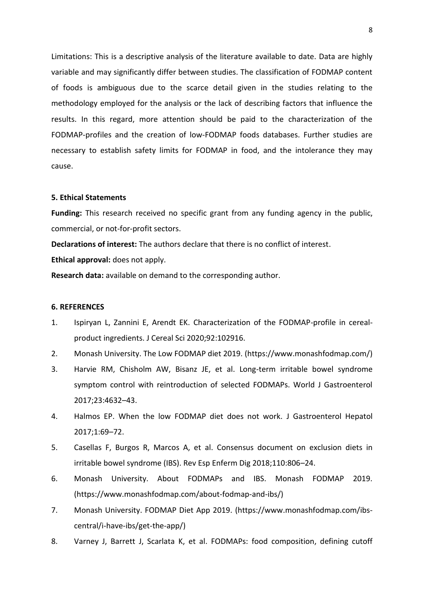Limitations: This is a descriptive analysis of the literature available to date. Data are highly variable and may significantly differ between studies. The classification of FODMAP content of foods is ambiguous due to the scarce detail given in the studies relating to the methodology employed for the analysis or the lack of describing factors that influence the results. In this regard, more attention should be paid to the characterization of the FODMAP-profiles and the creation of low-FODMAP foods databases. Further studies are necessary to establish safety limits for FODMAP in food, and the intolerance they may cause.

#### **5. Ethical Statements**

**Funding:** This research received no specific grant from any funding agency in the public, commercial, or not-for-profit sectors.

**Declarations of interest:** The authors declare that there is no conflict of interest. **Ethical approval:** does not apply.

**Research data:** available on demand to the corresponding author.

#### **6. REFERENCES**

- 1. Ispiryan L, Zannini E, Arendt EK. Characterization of the FODMAP-profile in cerealproduct ingredients. J Cereal Sci 2020;92:102916.
- 2. Monash University. The Low FODMAP diet 2019. (https://www.monashfodmap.com/)
- 3. Harvie RM, Chisholm AW, Bisanz JE, et al. Long-term irritable bowel syndrome symptom control with reintroduction of selected FODMAPs. World J Gastroenterol 2017;23:4632–43.
- 4. Halmos EP. When the low FODMAP diet does not work. J Gastroenterol Hepatol 2017;1:69–72.
- 5. Casellas F, Burgos R, Marcos A, et al. Consensus document on exclusion diets in irritable bowel syndrome (IBS). Rev Esp Enferm Dig 2018;110:806–24.
- 6. Monash University. About FODMAPs and IBS. Monash FODMAP 2019. (https://www.monashfodmap.com/about-fodmap-and-ibs/)
- 7. Monash University. FODMAP Diet App 2019. (https://www.monashfodmap.com/ibscentral/i-have-ibs/get-the-app/)
- 8. Varney J, Barrett J, Scarlata K, et al. FODMAPs: food composition, defining cutoff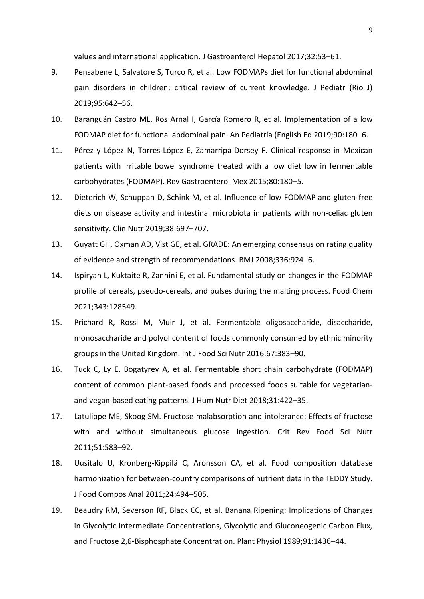values and international application. J Gastroenterol Hepatol 2017;32:53–61.

- 9. Pensabene L, Salvatore S, Turco R, et al. Low FODMAPs diet for functional abdominal pain disorders in children: critical review of current knowledge. J Pediatr (Rio J) 2019;95:642–56.
- 10. Baranguán Castro ML, Ros Arnal I, García Romero R, et al. Implementation of a low FODMAP diet for functional abdominal pain. An Pediatría (English Ed 2019;90:180–6.
- 11. Pérez y López N, Torres-López E, Zamarripa-Dorsey F. Clinical response in Mexican patients with irritable bowel syndrome treated with a low diet low in fermentable carbohydrates (FODMAP). Rev Gastroenterol Mex 2015;80:180–5.
- 12. Dieterich W, Schuppan D, Schink M, et al. Influence of low FODMAP and gluten-free diets on disease activity and intestinal microbiota in patients with non-celiac gluten sensitivity. Clin Nutr 2019;38:697–707.
- 13. Guyatt GH, Oxman AD, Vist GE, et al. GRADE: An emerging consensus on rating quality of evidence and strength of recommendations. BMJ 2008;336:924–6.
- 14. Ispiryan L, Kuktaite R, Zannini E, et al. Fundamental study on changes in the FODMAP profile of cereals, pseudo-cereals, and pulses during the malting process. Food Chem 2021;343:128549.
- 15. Prichard R, Rossi M, Muir J, et al. Fermentable oligosaccharide, disaccharide, monosaccharide and polyol content of foods commonly consumed by ethnic minority groups in the United Kingdom. Int J Food Sci Nutr 2016;67:383–90.
- 16. Tuck C, Ly E, Bogatyrev A, et al. Fermentable short chain carbohydrate (FODMAP) content of common plant-based foods and processed foods suitable for vegetarianand vegan-based eating patterns. J Hum Nutr Diet 2018;31:422–35.
- 17. Latulippe ME, Skoog SM. Fructose malabsorption and intolerance: Effects of fructose with and without simultaneous glucose ingestion. Crit Rev Food Sci Nutr 2011;51:583–92.
- 18. Uusitalo U, Kronberg-Kippilä C, Aronsson CA, et al. Food composition database harmonization for between-country comparisons of nutrient data in the TEDDY Study. J Food Compos Anal 2011;24:494–505.
- 19. Beaudry RM, Severson RF, Black CC, et al. Banana Ripening: Implications of Changes in Glycolytic Intermediate Concentrations, Glycolytic and Gluconeogenic Carbon Flux, and Fructose 2,6-Bisphosphate Concentration. Plant Physiol 1989;91:1436–44.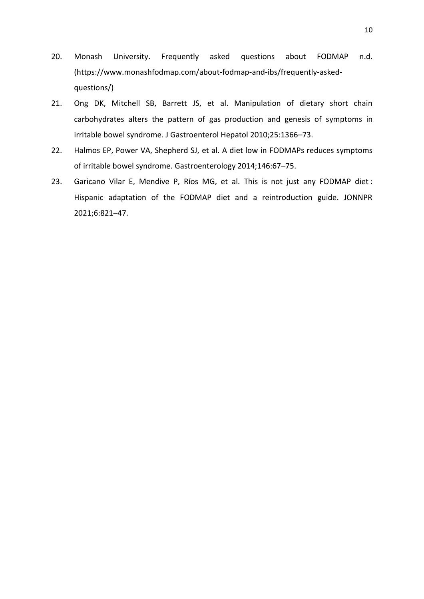- 20. Monash University. Frequently asked questions about FODMAP n.d. (https://www.monashfodmap.com/about-fodmap-and-ibs/frequently-askedquestions/)
- 21. Ong DK, Mitchell SB, Barrett JS, et al. Manipulation of dietary short chain carbohydrates alters the pattern of gas production and genesis of symptoms in irritable bowel syndrome. J Gastroenterol Hepatol 2010;25:1366–73.
- 22. Halmos EP, Power VA, Shepherd SJ, et al. A diet low in FODMAPs reduces symptoms of irritable bowel syndrome. Gastroenterology 2014;146:67–75.
- 23. Garicano Vilar E, Mendive P, Ríos MG, et al. This is not just any FODMAP diet : Hispanic adaptation of the FODMAP diet and a reintroduction guide. JONNPR 2021;6:821–47.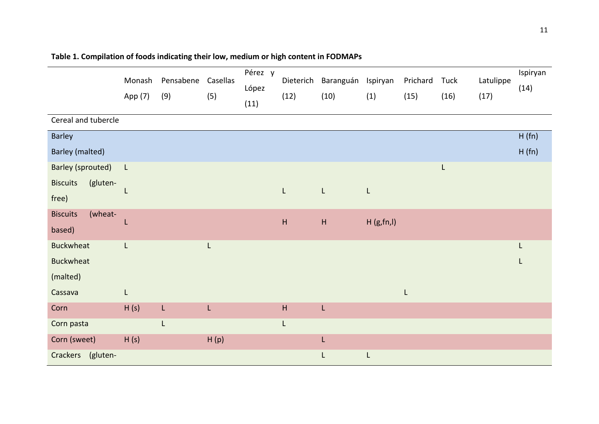|                             | Monash<br>App (7) | Pensabene<br>(9) | Casellas<br>(5) | Pérez y<br>López<br>(11) | Dieterich<br>(12)         | Baranguán<br>(10)         | Ispiryan<br>(1) | Prichard<br>(15) | Tuck<br>(16) | Latulippe<br>(17) | Ispiryan<br>(14) |
|-----------------------------|-------------------|------------------|-----------------|--------------------------|---------------------------|---------------------------|-----------------|------------------|--------------|-------------------|------------------|
| Cereal and tubercle         |                   |                  |                 |                          |                           |                           |                 |                  |              |                   |                  |
| Barley                      |                   |                  |                 |                          |                           |                           |                 |                  |              |                   | H(fn)            |
| Barley (malted)             |                   |                  |                 |                          |                           |                           |                 |                  |              |                   | H(fn)            |
| <b>Barley (sprouted)</b>    | $\mathsf{L}$      |                  |                 |                          |                           |                           |                 |                  | L            |                   |                  |
| <b>Biscuits</b><br>(gluten- |                   |                  |                 |                          | $\mathsf{L}$              | $\mathsf{L}$              | L               |                  |              |                   |                  |
| free)                       |                   |                  |                 |                          |                           |                           |                 |                  |              |                   |                  |
| (wheat-<br><b>Biscuits</b>  | L                 |                  |                 |                          | $\mathsf H$               | $\boldsymbol{\mathsf{H}}$ | H(g,fn, I)      |                  |              |                   |                  |
| based)                      |                   |                  |                 |                          |                           |                           |                 |                  |              |                   |                  |
| <b>Buckwheat</b>            | $\mathsf L$       |                  |                 |                          |                           |                           |                 |                  |              |                   |                  |
| <b>Buckwheat</b>            |                   |                  |                 |                          |                           |                           |                 |                  |              |                   |                  |
| (malted)                    |                   |                  |                 |                          |                           |                           |                 |                  |              |                   |                  |
| Cassava                     | L                 |                  |                 |                          |                           |                           |                 | L                |              |                   |                  |
| Corn                        | H(s)              | L                | L               |                          | $\boldsymbol{\mathsf{H}}$ | L                         |                 |                  |              |                   |                  |
| Corn pasta                  |                   | L                |                 |                          | L                         |                           |                 |                  |              |                   |                  |
| Corn (sweet)                | H(s)              |                  | H(p)            |                          |                           | L                         |                 |                  |              |                   |                  |
| Crackers (gluten-           |                   |                  |                 |                          |                           | L                         | L               |                  |              |                   |                  |

# **Table 1. Compilation of foods indicating their low, medium or high content in FODMAPs**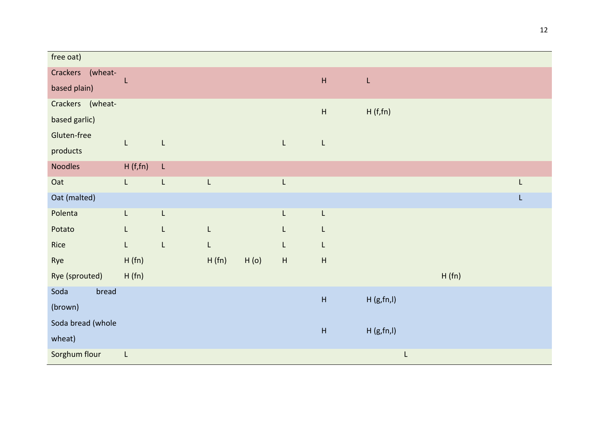| free oat)         |                |              |       |      |                                                                                                           |                           |            |       |   |
|-------------------|----------------|--------------|-------|------|-----------------------------------------------------------------------------------------------------------|---------------------------|------------|-------|---|
| Crackers (wheat-  |                |              |       |      |                                                                                                           | $\boldsymbol{\mathsf{H}}$ | L          |       |   |
| based plain)      |                |              |       |      |                                                                                                           |                           |            |       |   |
| Crackers (wheat-  |                |              |       |      |                                                                                                           | $\boldsymbol{\mathsf{H}}$ | H(f,fn)    |       |   |
| based garlic)     |                |              |       |      |                                                                                                           |                           |            |       |   |
| Gluten-free       | L.             | $\mathsf L$  |       |      | $\mathsf L$                                                                                               | L                         |            |       |   |
| products          |                |              |       |      |                                                                                                           |                           |            |       |   |
| Noodles           | H(f,fn)        | $\mathsf L$  |       |      |                                                                                                           |                           |            |       |   |
| Oat               | $\mathsf{L}^-$ | L            | L     |      | L                                                                                                         |                           |            |       | L |
| Oat (malted)      |                |              |       |      |                                                                                                           |                           |            |       | L |
| Polenta           | L              | $\mathsf L$  |       |      | $\mathsf{L}% _{0}\left( \mathsf{L}_{0}\right) ^{\ast}=\mathsf{L}_{0}\left( \mathsf{L}_{0}\right) ^{\ast}$ | L                         |            |       |   |
| Potato            | L              | L            | L     |      | L                                                                                                         | L                         |            |       |   |
| Rice              | L.             | $\mathsf{L}$ | L     |      | L                                                                                                         | L                         |            |       |   |
| Rye               | H(fn)          |              | H(fn) | H(0) | $\boldsymbol{\mathsf{H}}$                                                                                 | $\boldsymbol{\mathsf{H}}$ |            |       |   |
| Rye (sprouted)    | H(fn)          |              |       |      |                                                                                                           |                           |            | H(fn) |   |
| Soda<br>bread     |                |              |       |      |                                                                                                           | $\boldsymbol{\mathsf{H}}$ | H(g,fn, I) |       |   |
| (brown)           |                |              |       |      |                                                                                                           |                           |            |       |   |
| Soda bread (whole |                |              |       |      |                                                                                                           | $\boldsymbol{\mathsf{H}}$ | H(g,fn, I) |       |   |
| wheat)            |                |              |       |      |                                                                                                           |                           |            |       |   |
| Sorghum flour     | $\mathsf L$    |              |       |      |                                                                                                           |                           | L          |       |   |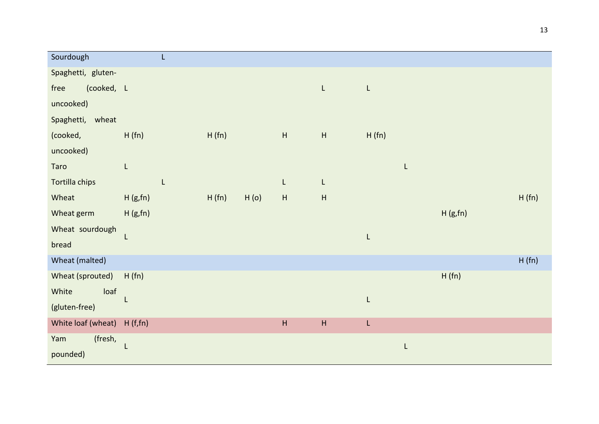| Sourdough          | L           |       |      |                           |                           |       |         |       |
|--------------------|-------------|-------|------|---------------------------|---------------------------|-------|---------|-------|
| Spaghetti, gluten- |             |       |      |                           |                           |       |         |       |
| (cooked, L<br>free |             |       |      |                           | L.                        | L     |         |       |
| uncooked)          |             |       |      |                           |                           |       |         |       |
| Spaghetti, wheat   |             |       |      |                           |                           |       |         |       |
| (cooked,           | H(fn)       | H(fn) |      | $\mathsf H$               | $\boldsymbol{\mathsf{H}}$ | H(fn) |         |       |
| uncooked)          |             |       |      |                           |                           |       |         |       |
| Taro               | $\mathsf L$ |       |      |                           |                           | L     |         |       |
| Tortilla chips     | L           |       |      | L                         | L                         |       |         |       |
| Wheat              | H(g,fn)     | H(fn) | H(0) | $\mathsf{H}%$             | $\boldsymbol{\mathsf{H}}$ |       |         | H(fn) |
| Wheat germ         | H(g,fn)     |       |      |                           |                           |       | H(g,fn) |       |
| Wheat sourdough    |             |       |      |                           |                           | L     |         |       |
| bread              |             |       |      |                           |                           |       |         |       |
| Wheat (malted)     |             |       |      |                           |                           |       |         | H(fn) |
| Wheat (sprouted)   | H(fn)       |       |      |                           |                           |       | H(fn)   |       |
| White<br>loaf      |             |       |      |                           |                           | L     |         |       |
| (gluten-free)      |             |       |      |                           |                           |       |         |       |
| White loaf (wheat) | H(f,fn)     |       |      | $\boldsymbol{\mathsf{H}}$ | $\boldsymbol{\mathsf{H}}$ | L     |         |       |
| (fresh,<br>Yam     |             |       |      |                           |                           | L     |         |       |
| pounded)           |             |       |      |                           |                           |       |         |       |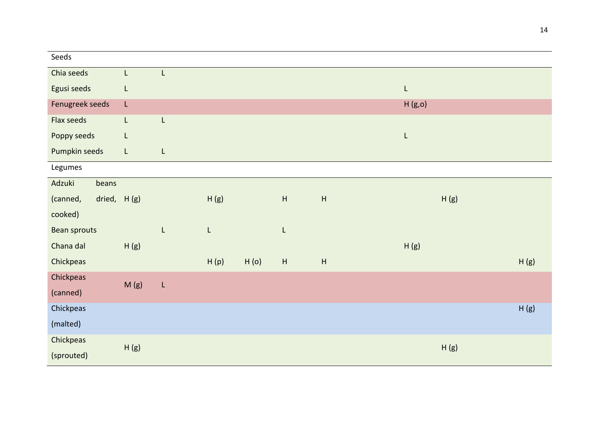| Seeds           |               |   |             |      |                           |                           |             |      |      |
|-----------------|---------------|---|-------------|------|---------------------------|---------------------------|-------------|------|------|
| Chia seeds      | L.            | L |             |      |                           |                           |             |      |      |
| Egusi seeds     | L             |   |             |      |                           |                           | $\mathsf L$ |      |      |
| Fenugreek seeds | L.            |   |             |      |                           |                           | H(g,o)      |      |      |
| Flax seeds      | L             | L |             |      |                           |                           |             |      |      |
| Poppy seeds     | L             |   |             |      |                           |                           | L           |      |      |
| Pumpkin seeds   | $\mathsf{L}$  | L |             |      |                           |                           |             |      |      |
| Legumes         |               |   |             |      |                           |                           |             |      |      |
| Adzuki<br>beans |               |   |             |      |                           |                           |             |      |      |
| (canned,        | dried, $H(g)$ |   | H(g)        |      | $\mathsf H$               | $\boldsymbol{\mathsf{H}}$ |             | H(g) |      |
| cooked)         |               |   |             |      |                           |                           |             |      |      |
| Bean sprouts    |               | L | $\mathsf L$ |      | L                         |                           |             |      |      |
| Chana dal       | H(g)          |   |             |      |                           |                           | H(g)        |      |      |
| Chickpeas       |               |   | H(p)        | H(0) | $\boldsymbol{\mathsf{H}}$ | $\boldsymbol{\mathsf{H}}$ |             |      | H(g) |
| Chickpeas       | M(g)          | L |             |      |                           |                           |             |      |      |
| (canned)        |               |   |             |      |                           |                           |             |      |      |
| Chickpeas       |               |   |             |      |                           |                           |             |      | H(g) |
| (malted)        |               |   |             |      |                           |                           |             |      |      |
| Chickpeas       |               |   |             |      |                           |                           |             |      |      |
| (sprouted)      | H(g)          |   |             |      |                           |                           |             | H(g) |      |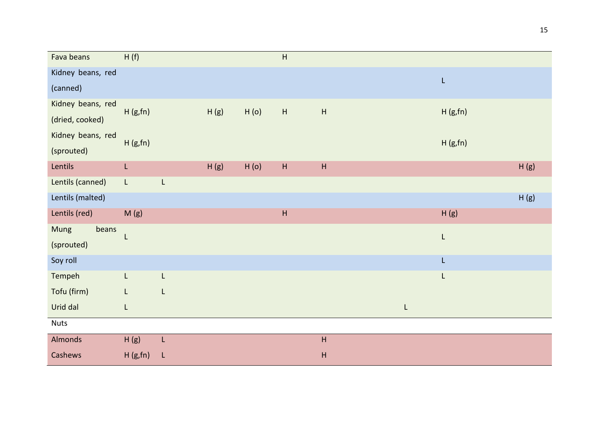| Fava beans        | H(f)           |                                                                                                             |      |      | $\boldsymbol{\mathsf{H}}$ |                           |   |         |      |
|-------------------|----------------|-------------------------------------------------------------------------------------------------------------|------|------|---------------------------|---------------------------|---|---------|------|
| Kidney beans, red |                |                                                                                                             |      |      |                           |                           |   | L       |      |
| (canned)          |                |                                                                                                             |      |      |                           |                           |   |         |      |
| Kidney beans, red | H(g,fn)        |                                                                                                             | H(g) | H(0) | $\boldsymbol{\mathsf{H}}$ | $\boldsymbol{\mathsf{H}}$ |   | H(g,fn) |      |
| (dried, cooked)   |                |                                                                                                             |      |      |                           |                           |   |         |      |
| Kidney beans, red | H(g,fn)        |                                                                                                             |      |      |                           |                           |   | H(g,fn) |      |
| (sprouted)        |                |                                                                                                             |      |      |                           |                           |   |         |      |
| Lentils           | $\mathsf{L}$   |                                                                                                             | H(g) | H(0) | $\boldsymbol{\mathsf{H}}$ | $\boldsymbol{\mathsf{H}}$ |   |         | H(g) |
| Lentils (canned)  | $\mathsf{L}$   | L                                                                                                           |      |      |                           |                           |   |         |      |
| Lentils (malted)  |                |                                                                                                             |      |      |                           |                           |   |         | H(g) |
| Lentils (red)     | M(g)           |                                                                                                             |      |      | $\boldsymbol{\mathsf{H}}$ |                           |   | H(g)    |      |
| beans<br>Mung     |                |                                                                                                             |      |      |                           |                           |   | L       |      |
| (sprouted)        |                |                                                                                                             |      |      |                           |                           |   |         |      |
| Soy roll          |                |                                                                                                             |      |      |                           |                           |   | L       |      |
| Tempeh            | $\mathsf{L}^-$ | $\mathsf{L}% _{0}\left( \mathsf{L}_{0}\right) ^{\ast }=\mathsf{L}_{0}\left( \mathsf{L}_{0}\right) ^{\ast }$ |      |      |                           |                           |   | L       |      |
| Tofu (firm)       | L              | L                                                                                                           |      |      |                           |                           |   |         |      |
| Urid dal          | L              |                                                                                                             |      |      |                           |                           | L |         |      |
| <b>Nuts</b>       |                |                                                                                                             |      |      |                           |                           |   |         |      |
| Almonds           | H(g)           | L                                                                                                           |      |      |                           | $\sf H$                   |   |         |      |
| Cashews           | H(g,fn)        | $\mathsf L$                                                                                                 |      |      |                           | $\mathsf{H}$              |   |         |      |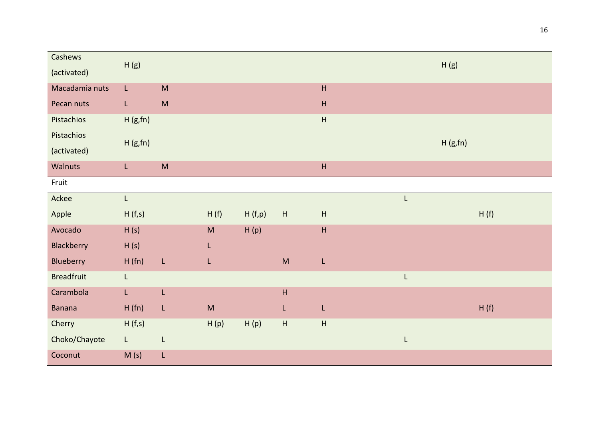| Cashews           |                |                                                                                                            |                                                                                                            |        |                                                                                                            |                           |             |         |
|-------------------|----------------|------------------------------------------------------------------------------------------------------------|------------------------------------------------------------------------------------------------------------|--------|------------------------------------------------------------------------------------------------------------|---------------------------|-------------|---------|
| (activated)       | H(g)           |                                                                                                            |                                                                                                            |        |                                                                                                            |                           |             | H(g)    |
| Macadamia nuts    | L              | $\mathsf{M}% _{T}=\mathsf{M}_{T}\!\left( a,b\right) ,\ \mathsf{M}_{T}=\mathsf{M}_{T}\!\left( a,b\right) ,$ |                                                                                                            |        |                                                                                                            | $\boldsymbol{\mathsf{H}}$ |             |         |
| Pecan nuts        | $\mathsf{L}$   | $\mathsf{M}% _{T}=\mathsf{M}_{T}\!\left( a,b\right) ,\ \mathsf{M}_{T}=\mathsf{M}_{T}\!\left( a,b\right) ,$ |                                                                                                            |        |                                                                                                            | $\boldsymbol{\mathsf{H}}$ |             |         |
| Pistachios        | H(g,fn)        |                                                                                                            |                                                                                                            |        |                                                                                                            | $\boldsymbol{\mathsf{H}}$ |             |         |
| Pistachios        | H(g,fn)        |                                                                                                            |                                                                                                            |        |                                                                                                            |                           |             | H(g,fn) |
| (activated)       |                |                                                                                                            |                                                                                                            |        |                                                                                                            |                           |             |         |
| Walnuts           | $\mathsf{L}^-$ | $\mathsf{M}% _{T}=\mathsf{M}_{T}\!\left( a,b\right) ,\ \mathsf{M}_{T}=\mathsf{M}_{T}\!\left( a,b\right) ,$ |                                                                                                            |        |                                                                                                            | $\boldsymbol{\mathsf{H}}$ |             |         |
| Fruit             |                |                                                                                                            |                                                                                                            |        |                                                                                                            |                           |             |         |
| Ackee             | $\mathsf{L}$   |                                                                                                            |                                                                                                            |        |                                                                                                            |                           | L           |         |
| Apple             | H(f,s)         |                                                                                                            | H(f)                                                                                                       | H(f,p) | $\boldsymbol{\mathsf{H}}$                                                                                  | $\boldsymbol{\mathsf{H}}$ |             | H(f)    |
| Avocado           | H(s)           |                                                                                                            | $\mathsf{M}% _{T}=\mathsf{M}_{T}\!\left( a,b\right) ,\ \mathsf{M}_{T}=\mathsf{M}_{T}\!\left( a,b\right) ,$ | H(p)   |                                                                                                            | $\boldsymbol{\mathsf{H}}$ |             |         |
| Blackberry        | H(s)           |                                                                                                            | L                                                                                                          |        |                                                                                                            |                           |             |         |
| Blueberry         | H(fn)          | $\mathsf{L}$                                                                                               | L                                                                                                          |        | $\mathsf{M}% _{T}=\mathsf{M}_{T}\!\left( a,b\right) ,\ \mathsf{M}_{T}=\mathsf{M}_{T}\!\left( a,b\right) ,$ | L                         |             |         |
| <b>Breadfruit</b> | $\mathsf{L}$   |                                                                                                            |                                                                                                            |        |                                                                                                            |                           | $\mathsf L$ |         |
| Carambola         | $\mathsf{L}$   | L                                                                                                          |                                                                                                            |        | $\boldsymbol{\mathsf{H}}$                                                                                  |                           |             |         |
| <b>Banana</b>     | H(fn)          | L                                                                                                          | $\sf M$                                                                                                    |        | L                                                                                                          | L                         |             | H(f)    |
| Cherry            | H(f,s)         |                                                                                                            | H(p)                                                                                                       | H(p)   | $\boldsymbol{\mathsf{H}}$                                                                                  | $\boldsymbol{\mathsf{H}}$ |             |         |
| Choko/Chayote     | $\mathsf{L}$   | $\mathsf L$                                                                                                |                                                                                                            |        |                                                                                                            |                           | $\mathsf L$ |         |
| Coconut           | M(s)           | L                                                                                                          |                                                                                                            |        |                                                                                                            |                           |             |         |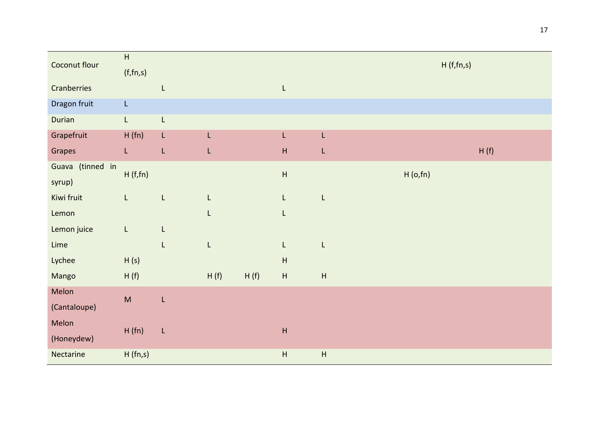| Coconut flour    | $\boldsymbol{\mathsf{H}}$ |              |      |      |                                                                                                             |               | H(f,fn,s) |      |
|------------------|---------------------------|--------------|------|------|-------------------------------------------------------------------------------------------------------------|---------------|-----------|------|
|                  | (f, fn, s)                |              |      |      |                                                                                                             |               |           |      |
| Cranberries      |                           | L            |      |      | $\mathsf{L}% _{0}\left( \mathsf{L}_{0}\right) ^{\ast }=\mathsf{L}_{0}\left( \mathsf{L}_{0}\right) ^{\ast }$ |               |           |      |
| Dragon fruit     | $\mathsf{L}$              |              |      |      |                                                                                                             |               |           |      |
| Durian           | $\mathsf{L}$              | L            |      |      |                                                                                                             |               |           |      |
| Grapefruit       | H (fn)                    | L            | L    |      | L                                                                                                           | L             |           |      |
| Grapes           | $\mathsf{L}$              | L            | L    |      | $\boldsymbol{\mathsf{H}}$                                                                                   | L             |           | H(f) |
| Guava (tinned in | H(f,fn)                   |              |      |      | $\overline{\mathsf{H}}$                                                                                     |               | H(0,fn)   |      |
| syrup)           |                           |              |      |      |                                                                                                             |               |           |      |
| Kiwi fruit       | $\mathsf{L}$              | $\mathsf L$  | L    |      | $\mathsf{L}$                                                                                                | L             |           |      |
| Lemon            |                           |              | L    |      | L                                                                                                           |               |           |      |
| Lemon juice      | L                         | L            |      |      |                                                                                                             |               |           |      |
| Lime             |                           | L            | L    |      | $\mathsf{L}$                                                                                                | L             |           |      |
| Lychee           | H(s)                      |              |      |      | $\boldsymbol{\mathsf{H}}$                                                                                   |               |           |      |
| Mango            | H(f)                      |              | H(f) | H(f) | $\boldsymbol{\mathsf{H}}$                                                                                   | $\mathsf{H}%$ |           |      |
| Melon            | $\sf M$                   | $\mathsf{L}$ |      |      |                                                                                                             |               |           |      |
| (Cantaloupe)     |                           |              |      |      |                                                                                                             |               |           |      |
| Melon            |                           |              |      |      |                                                                                                             |               |           |      |
| (Honeydew)       | H(fn)                     | $\mathsf L$  |      |      | $\boldsymbol{\mathsf{H}}$                                                                                   |               |           |      |
| Nectarine        | H(fn,s)                   |              |      |      | $\boldsymbol{\mathsf{H}}$                                                                                   | $\sf H$       |           |      |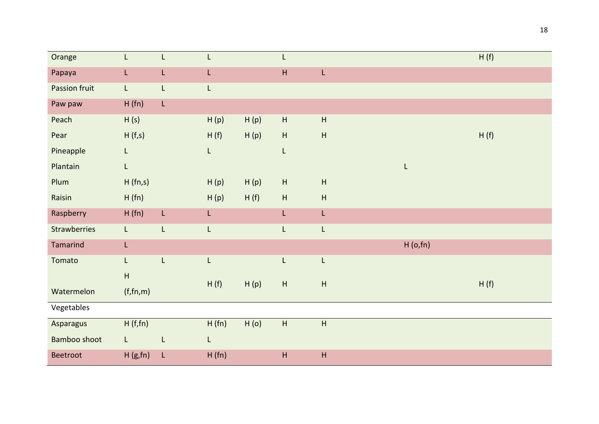| Orange              | L                         | L | L     |      | L                         |                           |         | H(f) |
|---------------------|---------------------------|---|-------|------|---------------------------|---------------------------|---------|------|
| Papaya              | L                         | L | L     |      | $\mathsf H$               | $\mathsf{L}$              |         |      |
| Passion fruit       | $\mathsf{L}$              | L | L     |      |                           |                           |         |      |
| Paw paw             | H(fn)                     | L |       |      |                           |                           |         |      |
| Peach               | H(s)                      |   | H(p)  | H(p) | $\boldsymbol{\mathsf{H}}$ | $\sf H$                   |         |      |
| Pear                | H(f,s)                    |   | H(f)  | H(p) | $\mathsf H$               | $\sf H$                   |         | H(f) |
| Pineapple           | L                         |   | L     |      | L                         |                           |         |      |
| Plantain            | L                         |   |       |      |                           |                           | L       |      |
| Plum                | H(fn,s)                   |   | H(p)  | H(p) | H                         | $\boldsymbol{\mathsf{H}}$ |         |      |
| Raisin              | H(fn)                     |   | H(p)  | H(f) | H                         | $\boldsymbol{\mathsf{H}}$ |         |      |
| Raspberry           | H(fn)                     | L | L     |      | L                         | L                         |         |      |
| Strawberries        | L                         | L | L     |      | L                         | L                         |         |      |
| Tamarind            | L                         |   |       |      |                           |                           | H(0,fn) |      |
| Tomato              | L.                        | L | L     |      | L                         | L                         |         |      |
|                     | $\boldsymbol{\mathsf{H}}$ |   | H(f)  | H(p) | H                         | $\boldsymbol{\mathsf{H}}$ |         | H(f) |
| Watermelon          | (f, fn, m)                |   |       |      |                           |                           |         |      |
| Vegetables          |                           |   |       |      |                           |                           |         |      |
| Asparagus           | H(f,fn)                   |   | H(fn) | H(0) | $\boldsymbol{\mathsf{H}}$ | $\sf H$                   |         |      |
| <b>Bamboo shoot</b> | $\mathsf{L}$              | L | L     |      |                           |                           |         |      |
| Beetroot            | H(g,fn)                   | L | H(fn) |      | $\mathsf H$               | $\boldsymbol{\mathsf{H}}$ |         |      |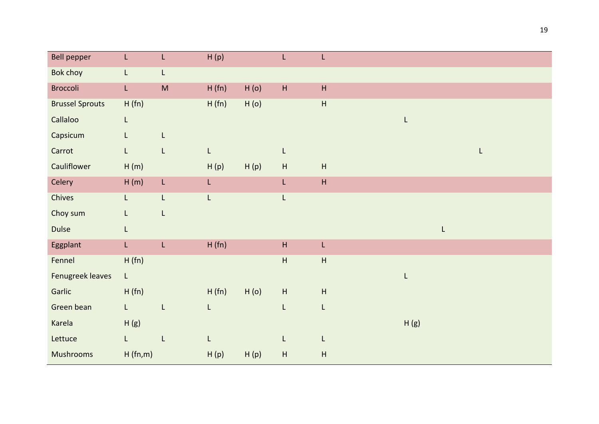| Bell pepper            | L              | L           | H(p)  |      | L                         | L                         |      |   |   |
|------------------------|----------------|-------------|-------|------|---------------------------|---------------------------|------|---|---|
| <b>Bok choy</b>        | $\mathsf L$    | L           |       |      |                           |                           |      |   |   |
| <b>Broccoli</b>        | $\mathsf{L}$   | M           | H(fn) | H(0) | $\boldsymbol{\mathsf{H}}$ | $\boldsymbol{\mathsf{H}}$ |      |   |   |
| <b>Brussel Sprouts</b> | H(fn)          |             | H(fn) | H(0) |                           | $\overline{\mathsf{H}}$   |      |   |   |
| Callaloo               | L              |             |       |      |                           |                           | L    |   |   |
| Capsicum               | $\mathsf{L}$   | L           |       |      |                           |                           |      |   |   |
| Carrot                 | $\mathsf{L}$   | $\mathsf L$ | L     |      | L                         |                           |      |   | L |
| Cauliflower            | H(m)           |             | H(p)  | H(p) | $\boldsymbol{\mathsf{H}}$ | H                         |      |   |   |
| Celery                 | H(m)           | $\mathsf L$ | L.    |      | $\mathsf{L}$              | H                         |      |   |   |
| Chives                 | $\mathsf{L}$   | L           | L     |      | L                         |                           |      |   |   |
| Choy sum               | $\mathsf{L}$   | $\mathsf L$ |       |      |                           |                           |      |   |   |
| <b>Dulse</b>           | L              |             |       |      |                           |                           |      | L |   |
| Eggplant               | $\mathsf{L}^-$ | L           | H(fn) |      | $\boldsymbol{\mathsf{H}}$ | L                         |      |   |   |
| Fennel                 | H(fn)          |             |       |      | $\boldsymbol{\mathsf{H}}$ | $\boldsymbol{\mathsf{H}}$ |      |   |   |
| Fenugreek leaves       | $\mathsf L$    |             |       |      |                           |                           | L    |   |   |
| Garlic                 | H(fn)          |             | H(fn) | H(0) | $\boldsymbol{\mathsf{H}}$ | $\boldsymbol{\mathsf{H}}$ |      |   |   |
| Green bean             | $\mathsf{L}$   | L           | L     |      | L                         | L                         |      |   |   |
| Karela                 | H(g)           |             |       |      |                           |                           | H(g) |   |   |
| Lettuce                | $\mathsf{L}$   | $\mathsf L$ | L     |      | L                         | L                         |      |   |   |
| <b>Mushrooms</b>       | H(fn,m)        |             | H(p)  | H(p) | $\boldsymbol{\mathsf{H}}$ | $\mathsf{H}$              |      |   |   |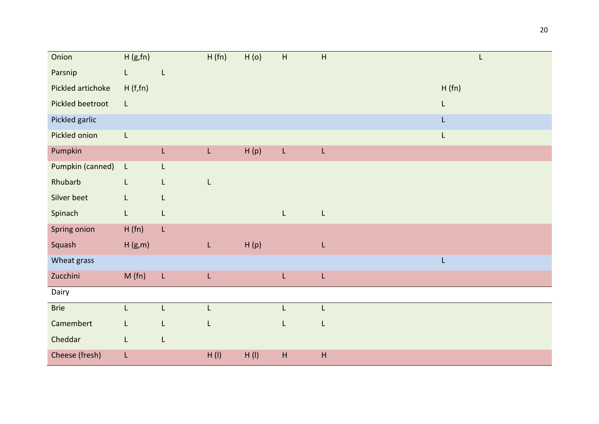| Onion             | H(g,fn)      |                                                                                                             | H(fn) | H(0) | $\boldsymbol{\mathsf{H}}$                                                                                 | $\sf H$      |       |
|-------------------|--------------|-------------------------------------------------------------------------------------------------------------|-------|------|-----------------------------------------------------------------------------------------------------------|--------------|-------|
| Parsnip           | $\mathsf{L}$ | L                                                                                                           |       |      |                                                                                                           |              |       |
| Pickled artichoke | H(f,fn)      |                                                                                                             |       |      |                                                                                                           |              | H(fn) |
| Pickled beetroot  | $\mathsf{L}$ |                                                                                                             |       |      |                                                                                                           |              | L     |
| Pickled garlic    |              |                                                                                                             |       |      |                                                                                                           |              | L     |
| Pickled onion     | $\mathsf L$  |                                                                                                             |       |      |                                                                                                           |              | L     |
| Pumpkin           |              | $\mathsf{L}$                                                                                                | L     | H(p) | L.                                                                                                        | L            |       |
| Pumpkin (canned)  | $\mathsf{L}$ | L                                                                                                           |       |      |                                                                                                           |              |       |
| Rhubarb           | L.           | L                                                                                                           | L     |      |                                                                                                           |              |       |
| Silver beet       | L            | L                                                                                                           |       |      |                                                                                                           |              |       |
| Spinach           | L            | L                                                                                                           |       |      | $\mathsf{L}% _{0}\left( \mathsf{L}_{0}\right) ^{\ast}=\mathsf{L}_{0}\left( \mathsf{L}_{0}\right) ^{\ast}$ | L            |       |
| Spring onion      | H(fn)        | L                                                                                                           |       |      |                                                                                                           |              |       |
| Squash            | H(g,m)       |                                                                                                             | L,    | H(p) |                                                                                                           | L            |       |
| Wheat grass       |              |                                                                                                             |       |      |                                                                                                           |              | L     |
| Zucchini          | M(fn)        | $\mathsf{L}% _{0}\left( \mathsf{L}_{0}\right) ^{\ast }=\mathsf{L}_{0}\left( \mathsf{L}_{0}\right) ^{\ast }$ | L     |      | L                                                                                                         | $\mathsf{L}$ |       |
| Dairy             |              |                                                                                                             |       |      |                                                                                                           |              |       |
| <b>Brie</b>       | $\mathsf{L}$ | L                                                                                                           | Г     |      | L                                                                                                         | L            |       |
| Camembert         | L            | L                                                                                                           | L     |      | L                                                                                                         | L            |       |
| Cheddar           | L.           | L                                                                                                           |       |      |                                                                                                           |              |       |
| Cheese (fresh)    | L            |                                                                                                             | H(I)  | H(I) | $\sf H$                                                                                                   | H            |       |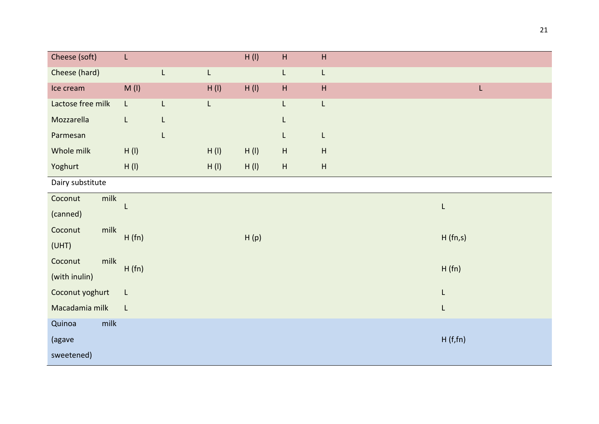| Cheese (soft)     | L            |   |      | H(I) | $\mathsf H$               | $\boldsymbol{\mathsf{H}}$ |         |
|-------------------|--------------|---|------|------|---------------------------|---------------------------|---------|
| Cheese (hard)     |              | L | L    |      | L                         | L                         |         |
| Ice cream         | $M($ l $)$   |   | H(I) | H(I) | $\mathsf{H}$              | $\boldsymbol{\mathsf{H}}$ | L,      |
| Lactose free milk | $\mathsf{L}$ | L | L    |      | L                         | L                         |         |
| Mozzarella        | L            | L |      |      | L                         |                           |         |
| Parmesan          |              | L |      |      | L                         | L                         |         |
| Whole milk        | H(I)         |   | H(I) | H(I) | $\boldsymbol{\mathsf{H}}$ | $\boldsymbol{\mathsf{H}}$ |         |
| Yoghurt           | H(I)         |   | H(I) | H(I) | $\mathsf H$               | $\boldsymbol{\mathsf{H}}$ |         |
| Dairy substitute  |              |   |      |      |                           |                           |         |
| milk<br>Coconut   |              |   |      |      |                           |                           | L       |
| (canned)          |              |   |      |      |                           |                           |         |
| milk<br>Coconut   | H(fn)        |   |      | H(p) |                           |                           | H(fn,s) |
| (UHT)             |              |   |      |      |                           |                           |         |
| milk<br>Coconut   | H(fn)        |   |      |      |                           |                           | H(fn)   |
| (with inulin)     |              |   |      |      |                           |                           |         |
| Coconut yoghurt   | L            |   |      |      |                           |                           | L       |
| Macadamia milk    | L            |   |      |      |                           |                           | L       |
| Quinoa<br>milk    |              |   |      |      |                           |                           |         |
| (agave            |              |   |      |      |                           |                           | H(f,fn) |
| sweetened)        |              |   |      |      |                           |                           |         |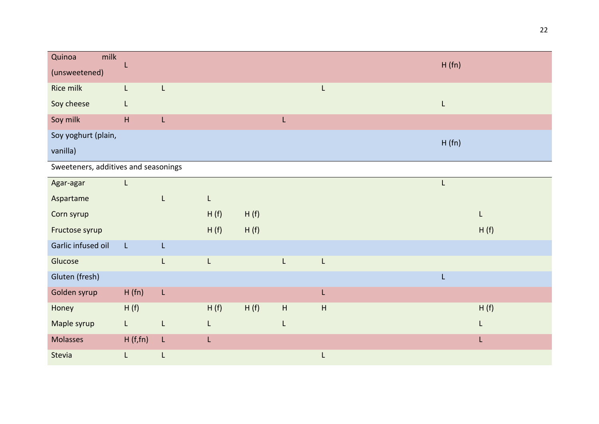| Quinoa<br>milk<br>(unsweetened) |   |   |  | H(fn) |
|---------------------------------|---|---|--|-------|
|                                 |   |   |  |       |
| Rice milk                       |   |   |  |       |
|                                 |   |   |  |       |
| Soy cheese                      |   |   |  |       |
| Soy milk                        | H | L |  |       |
| Soy yoghurt (plain,             |   |   |  |       |
|                                 |   |   |  | H(fn) |
| vanilla)                        |   |   |  |       |
|                                 |   |   |  |       |

Sweeteners, additives and seasonings

| Agar-agar          | L            |    |      |      |   |    |  |      |
|--------------------|--------------|----|------|------|---|----|--|------|
| Aspartame          |              | L  | L    |      |   |    |  |      |
| Corn syrup         |              |    | H(f) | H(f) |   |    |  | L    |
| Fructose syrup     |              |    | H(f) | H(f) |   |    |  | H(f) |
| Garlic infused oil | $\mathsf{L}$ | L  |      |      |   |    |  |      |
| Glucose            |              | L  | Г    |      | L | L  |  |      |
| Gluten (fresh)     |              |    |      |      |   |    |  |      |
| Golden syrup       | H(fn)        | L  |      |      |   | L. |  |      |
| Honey              | H(f)         |    | H(f) | H(f) | H | H  |  | H(f) |
| Maple syrup        | L.           | L  | L    |      | L |    |  | L    |
| Molasses           | H(f,fn)      | L  | L    |      |   |    |  | L    |
| Stevia             | L            | L. |      |      |   | L. |  |      |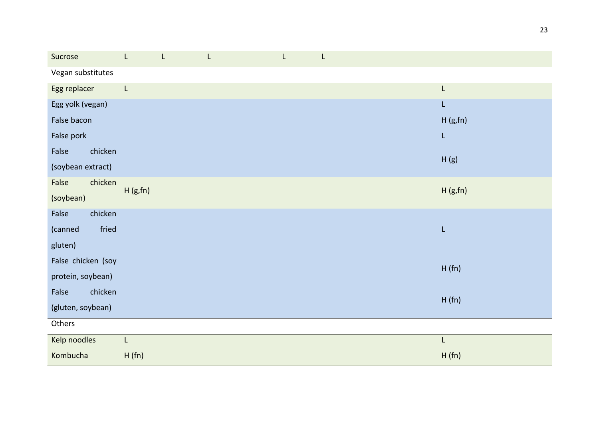| Sucrose            |         | L | L | L | L |         |
|--------------------|---------|---|---|---|---|---------|
| Vegan substitutes  |         |   |   |   |   |         |
| Egg replacer       | L       |   |   |   |   | L       |
| Egg yolk (vegan)   |         |   |   |   |   | L       |
| False bacon        |         |   |   |   |   | H(g,fn) |
| False pork         |         |   |   |   |   | L       |
| chicken<br>False   |         |   |   |   |   | H(g)    |
| (soybean extract)  |         |   |   |   |   |         |
| chicken<br>False   |         |   |   |   |   | H(g,fn) |
| (soybean)          | H(g,fn) |   |   |   |   |         |
| False<br>chicken   |         |   |   |   |   |         |
| fried<br>(canned   |         |   |   |   |   | L       |
| gluten)            |         |   |   |   |   |         |
| False chicken (soy |         |   |   |   |   | H(fn)   |
| protein, soybean)  |         |   |   |   |   |         |
| chicken<br>False   |         |   |   |   |   | H(fn)   |
| (gluten, soybean)  |         |   |   |   |   |         |
| Others             |         |   |   |   |   |         |
| Kelp noodles       | L       |   |   |   |   | L       |
| Kombucha           | H(fn)   |   |   |   |   | H(fn)   |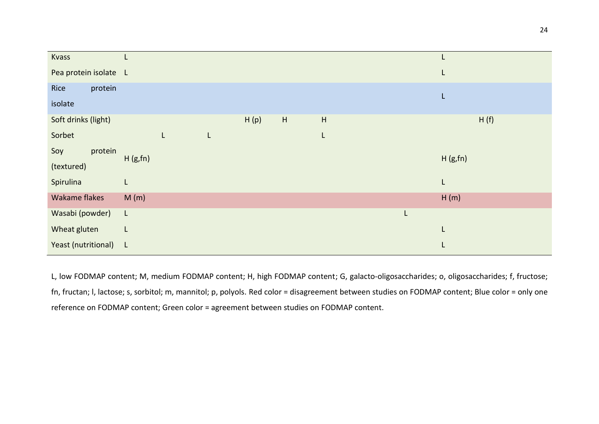| Kvass                 |              |   |    |      |             |                           |   | L       |
|-----------------------|--------------|---|----|------|-------------|---------------------------|---|---------|
| Pea protein isolate L |              |   |    |      |             |                           |   | L       |
| protein<br>Rice       |              |   |    |      |             |                           |   | L       |
| isolate               |              |   |    |      |             |                           |   |         |
| Soft drinks (light)   |              |   |    | H(p) | $\mathsf H$ | $\boldsymbol{\mathsf{H}}$ |   | H(f)    |
| Sorbet                |              | L | L. |      |             | L                         |   |         |
| protein<br>Soy        | H(g,fn)      |   |    |      |             |                           |   | H(g,fn) |
| (textured)            |              |   |    |      |             |                           |   |         |
| Spirulina             | L            |   |    |      |             |                           |   | L       |
| Wakame flakes         | M(m)         |   |    |      |             |                           |   | H(m)    |
| Wasabi (powder)       | L            |   |    |      |             |                           | L |         |
| Wheat gluten          | L            |   |    |      |             |                           |   | L       |
| Yeast (nutritional)   | $\mathsf{L}$ |   |    |      |             |                           |   | L       |

L, low FODMAP content; M, medium FODMAP content; H, high FODMAP content; G, galacto-oligosaccharides; o, oligosaccharides; f, fructose; fn, fructan; l, lactose; s, sorbitol; m, mannitol; p, polyols. Red color = disagreement between studies on FODMAP content; Blue color = only one reference on FODMAP content; Green color = agreement between studies on FODMAP content.